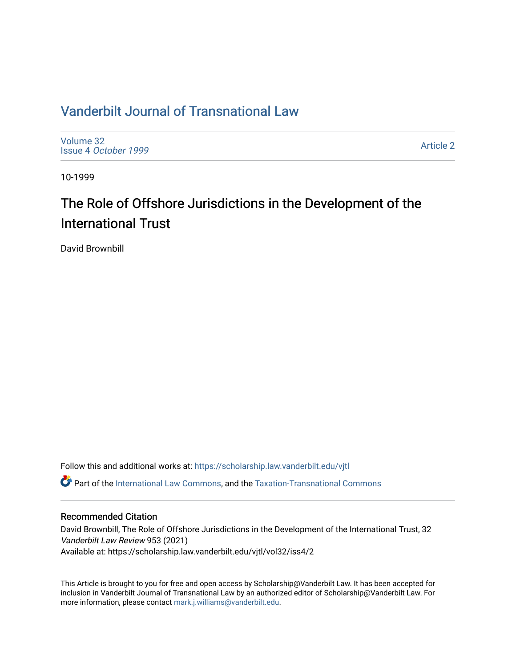### [Vanderbilt Journal of Transnational Law](https://scholarship.law.vanderbilt.edu/vjtl)

[Volume 32](https://scholarship.law.vanderbilt.edu/vjtl/vol32) Issue 4 [October 1999](https://scholarship.law.vanderbilt.edu/vjtl/vol32/iss4)

[Article 2](https://scholarship.law.vanderbilt.edu/vjtl/vol32/iss4/2) 

10-1999

# The Role of Offshore Jurisdictions in the Development of the International Trust

David Brownbill

Follow this and additional works at: [https://scholarship.law.vanderbilt.edu/vjtl](https://scholarship.law.vanderbilt.edu/vjtl?utm_source=scholarship.law.vanderbilt.edu%2Fvjtl%2Fvol32%2Fiss4%2F2&utm_medium=PDF&utm_campaign=PDFCoverPages)  Part of the [International Law Commons,](http://network.bepress.com/hgg/discipline/609?utm_source=scholarship.law.vanderbilt.edu%2Fvjtl%2Fvol32%2Fiss4%2F2&utm_medium=PDF&utm_campaign=PDFCoverPages) and the [Taxation-Transnational Commons](http://network.bepress.com/hgg/discipline/883?utm_source=scholarship.law.vanderbilt.edu%2Fvjtl%2Fvol32%2Fiss4%2F2&utm_medium=PDF&utm_campaign=PDFCoverPages) 

### Recommended Citation

David Brownbill, The Role of Offshore Jurisdictions in the Development of the International Trust, 32 Vanderbilt Law Review 953 (2021) Available at: https://scholarship.law.vanderbilt.edu/vjtl/vol32/iss4/2

This Article is brought to you for free and open access by Scholarship@Vanderbilt Law. It has been accepted for inclusion in Vanderbilt Journal of Transnational Law by an authorized editor of Scholarship@Vanderbilt Law. For more information, please contact [mark.j.williams@vanderbilt.edu](mailto:mark.j.williams@vanderbilt.edu).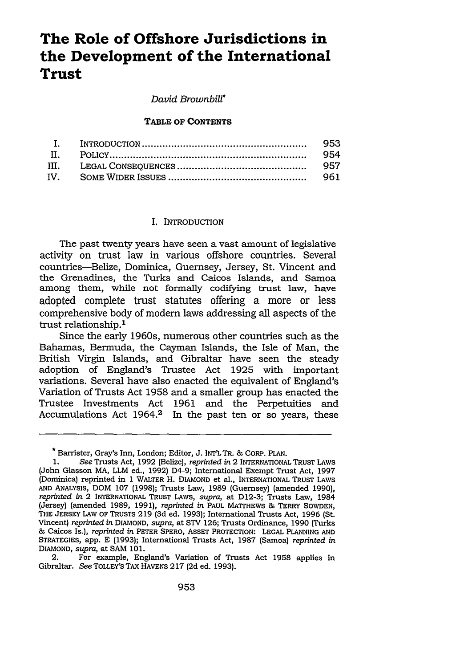### **The Role of Offshore Jurisdictions in the Development of the International Trust**

#### *David Brownbill\**

#### **TABLE OF CONTENTS**

|  | 953   |
|--|-------|
|  | 954   |
|  | 957   |
|  | -961- |

#### I. INTRODUCTION

The past twenty years have seen a vast amount of legislative activity on trust law in various offshore countries. Several countries-Belize, Dominica, Guernsey, Jersey, St. Vincent and the Grenadines, the Turks and Caicos Islands, and Samoa among them, while not formally codifying trust law, have adopted complete trust statutes offering a more or less comprehensive body of modem laws addressing all aspects of the trust relationship.<sup>1</sup>

Since the early 1960s, numerous other countries such as the Bahamas, Bermuda, the Cayman Islands, the Isle of Man, the British Virgin Islands, and Gibraltar have seen the steady adoption of England's Trustee Act 1925 with important variations. Several have also enacted the equivalent of England's Variation of Trusts Act 1958 and a smaller group has enacted the Trustee Investments Act 1961 and the Perpetuities and Accumulations Act 1964.2 In the past ten or so years, these

2. For example, England's Variation of Trusts Act 1958 applies in Gibraltar. *See* TOLLEY'S TAX HAVENS 217 (2d ed. 1993).

<sup>\*</sup> Barrister, Gray's Inn, London; Editor, J. INT'L TR. & CORP. PLAN.

<sup>1.</sup> *See* Trusts Act, 1992 (Belize), *reprinted in* 2 INTERNATIONAL TRUST LAWS (John Glasson MA, LLM ed., 1992) D4-9; International Exempt Trust Act, 1997 (Dominica) reprinted in **I** WALTER H. DIAMOND et al., INTERNATIONAL TRUST LAWS **AND** ANALYSIS, DOM 107 (1998); Trusts Law, 1989 (Guernsey) (amended 1990), *reprinted in* 2 INTERNATIONAL TRUST LAWS, *supra,* at D12-3; Trusts Law, 1984 (Jersey) (amended 1989, 1991), *reprinted in* PAUL MATTHEWS & TERRY SOWDEN, THE JERSEY LAW OF TRusTS 219 (3d ed. 1993); International Trusts Act, 1996 (St. Vincent) *reprinted in* DIAMOND, *supra,* at **STV** 126; Trusts Ordinance, 1990 (Turks & Caicos Is.), *reprinted in* PETER SPERO, ASSET PROTECTION: LEGAL PLANNING **AND** STRATEGIES, app. E (1993); International Trusts Act, 1987 (Samoa) *reprinted in* DIAMOND, *supra,* at SAM 101.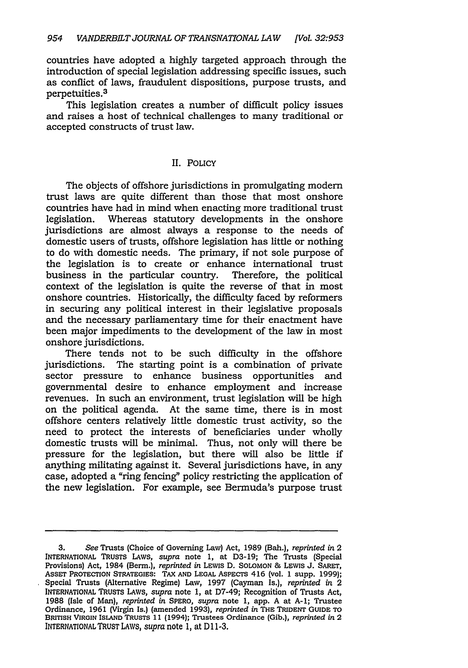countries have adopted a highly targeted approach through the introduction of special legislation addressing specific issues, such as conflict of laws, fraudulent dispositions, purpose trusts, and perpetuities.<sup>3</sup>

This legislation creates a number of difficult policy issues and raises a host of technical challenges to many traditional or accepted constructs of trust law.

#### II. POLICY

The objects of offshore jurisdictions in promulgating modem trust laws are quite different than those that most onshore countries have had in mind when enacting more traditional trust legislation. Whereas statutory developments in the onshore jurisdictions are almost always a response to the needs of domestic users of trusts, offshore legislation has little or nothing to do with domestic needs. The primary, if not sole purpose of the legislation is to create or enhance international trust business in the particular country. Therefore, the political context of the legislation is quite the reverse of that in most onshore countries. Historically, the difficulty faced by reformers in securing any political interest in their legislative proposals and the necessary parliamentary time for their enactment have been major impediments to the development of the law in most onshore jurisdictions.

There tends not to be such difficulty in the offshore jurisdictions. The starting point is a combination of private sector pressure to enhance business opportunities and governmental desire to enhance employment and increase revenues. In such an environment, trust legislation will be high on the political agenda. At the same time, there is in most offshore centers relatively little domestic trust activity, so the need to protect the interests of beneficiaries under wholly domestic trusts will be minimal. Thus, not only will there be pressure for the legislation, but there will also be little if anything militating against it. Several jurisdictions have, in any case, adopted a "ring fencing" policy restricting the application of the new legislation. For example, see Bermuda's purpose trust

<sup>3.</sup> *See* Trusts (Choice of Governing Law) Act, 1989 (Bah.), *reprinted in* 2 INTERNATIONAL TRUSTS LAws, *supra* note 1, at D3-19; The Trusts (Special Provisions) Act, 1984 (Berm.), *reprinted in* LEWIS D. SOLOMON & LEWIS J. SARET, ASSET PROTECTION **STRATEGIES:** TAX **AND** LEGAL ASPECTS 416 (vol. 1 supp. 1999); Special Trusts (Alternative Regime) Law, 1997 (Cayman Is.), *reprinted in* 2 INTERNATIONAL TRUSTS LAWs, *supra* note **1,** at D7-49; Recognition of Trusts Act, 1988 (Isle of Man), *reprinted in* SPERO, *supra* note 1, app. A at A-i; Trustee Ordinance, 1961 (Virgin Is.) (amended 1993), *reprinted in* **THE** TRIDENT **GUIDE** TO BRITISH VIRGIN **ISLAND** TRUSTS 11 (1994); Trustees Ordinance (Gib.), *reprinted in* <sup>2</sup> INTERNATIONAL TRUST LAWS, *supra* note **1,** at D **11-3.**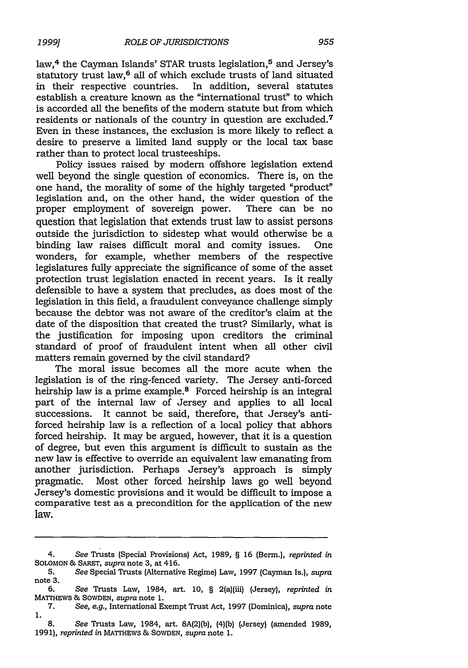law,<sup>4</sup> the Cayman Islands' STAR trusts legislation,<sup>5</sup> and Jersey's statutory trust law,<sup>6</sup> all of which exclude trusts of land situated in their respective countries. In addition, several statutes In addition, several statutes establish a creature known as the "international trust" to which is accorded all the benefits of the modem statute but from which residents or nationals of the country in question are excluded.7 Even in these instances, the exclusion is more likely to reflect a desire to preserve a limited land supply or the local tax base rather than to protect local trusteeships.

Policy issues raised by modem offshore legislation extend well beyond the single question of economics. There is, on the one hand, the morality of some of the highly targeted "product" legislation and, on the other hand, the wider question of the proper employment of sovereign power. There can be no proper employment of sovereign power. question that legislation that extends trust law to assist persons outside the jurisdiction to sidestep what would otherwise be a binding law raises difficult moral and comity issues. One wonders, for example, whether members of the respective legislatures fully appreciate the significance of some of the asset protection trust legislation enacted in recent years. Is it really defensible to have a system that precludes, as does most of the legislation in this field, a fraudulent conveyance challenge simply because the debtor was not aware of the creditor's claim at the date of the disposition that created the trust? Similarly, what is the justification for imposing upon creditors the criminal standard of proof of fraudulent intent when all other civil matters remain governed by the civil standard?

The moral issue becomes all the more acute when the legislation is of the ring-fenced variety. The Jersey anti-forced heirship law is a prime example.8 Forced heirship is an integral part of the internal law of Jersey and applies to all local successions. It cannot be said, therefore, that Jersey's antiforced heirship law is a reflection of a local policy that abhors forced heirship. It may be argued, however, that it is a question of degree, but even this argument is difficult to sustain as the new law is effective to override an equivalent law emanating from another jurisdiction. Perhaps Jersey's approach is simply pragmatic. Most other forced heirship laws go well beyond Jersey's domestic provisions and it would be difficult to impose a comparative test as a precondition for the application of the new law.

*8. See* Trusts Law, 1984, art. 8A(2)(b), (4)(b) (Jersey) (amended 1989, 1991), *reprinted in* MATHEWS *&* SOWDEN, *supra* note 1.

<sup>4.</sup> *See* Trusts (Special Provisions) Act, 1989, § 16 (Berm.), *reprinted in* SOLOMON *&* SARET, *supra* note 3, at 416.

<sup>5.</sup> *See* Special Trusts (Alternative Regime) Law, 1997 (Cayman Is.), *supra* note 3.

<sup>6.</sup> *See* Trusts Law, 1984, art. 10, § 2(a)(iii) (Jersey), *reprinted in* MATTHEWS **&.** SOWDEN, *supra* note **1.**

<sup>7.</sup> *See, e.g.,* International Exempt Trust Act, 1997 (Dominica), *supra* note 1.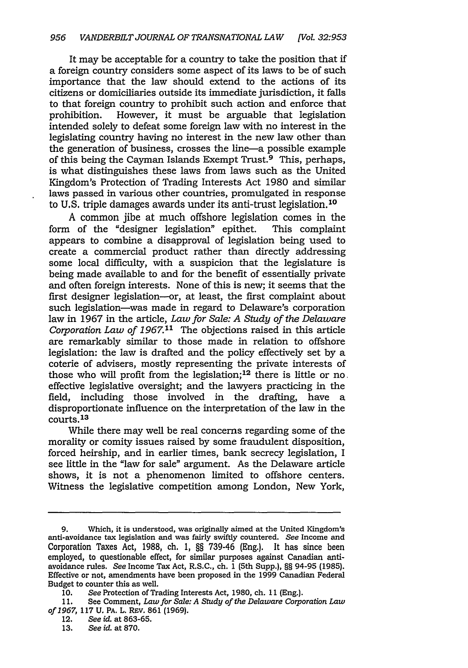It may be acceptable for a country to take the position that if a foreign country considers some aspect of its laws to be of such importance that the law should extend to the actions of its citizens or domiciliaries outside its immediate jurisdiction, it falls to that foreign country to prohibit such action and enforce that prohibition. However, it must be arguable that legislation intended solely to defeat some foreign law with no interest in the legislating country having no interest in the new law other than the generation of business, crosses the line-a possible example of this being the Cayman Islands Exempt Trust.<sup>9</sup> This, perhaps, is what distinguishes these laws from laws such as the United Kingdom's Protection of Trading Interests Act 1980 and similar laws passed in various other countries, promulgated in response to U.S. triple damages awards under its anti-trust legislation.<sup>10</sup>

A common jibe at much offshore legislation comes in the of the "designer legislation" epithet. This complaint form of the "designer legislation" epithet. appears to combine a disapproval of legislation being used to create a commercial product rather than directly addressing some local difficulty, with a suspicion that the legislature is being made available to and for the benefit of essentially private and often foreign interests. None of this is new; it seems that the first designer legislation--or, at least, the first complaint about such legislation-was made in regard to Delaware's corporation law in 1967 in the article, *Law for Sale: A Study of the Delaware Corporation Law of 1967.11* The objections raised in this article are remarkably similar to those made in relation to offshore legislation: the law is drafted and the policy effectively set by a coterie of advisers, mostly representing the private interests of those who will profit from the legislation;<sup>12</sup> there is little or no. effective legislative oversight; and the lawyers practicing in the field, including those involved in the drafting, have a disproportionate influence on the interpretation of the law in the courts. **13**

While there may well be real concerns regarding some of the morality or comity issues raised by some fraudulent disposition, forced heirship, and in earlier times, bank secrecy legislation, I see little in the "law for sale" argument. As the Delaware article shows, it is not a phenomenon limited to offshore centers. Witness the legislative competition among London, New York,

**<sup>9.</sup>** Which, it is understood, was originally aimed at the United Kingdom's anti-avoidance tax legislation and was fairly swiftly countered. See Income and Corporation Taxes Act, 1988, ch. **1,** §§ 739-46 (Eng.). It has since been employed, to questionable effect, for similar purposes against Canadian antiavoidance rules. *See* Income Tax Act, R.S.C., ch. 1 (5th Supp.), §§ 94-95 (1985). Effective or not, amendments have been proposed in the 1999 Canadian Federal Budget to counter this as well.

<sup>10.</sup> *See* Protection of Trading Interests Act, 1980, ch. 11 (Eng.).

**<sup>11.</sup>** See Comment, *Law for Sale: A Study of the Delaware Corporation Law of 1967,* 117 **U.** PA. L. REv. 861 (1969).

<sup>12.</sup> *See id.* at 863-65.

<sup>13.</sup> *See id.* at 870.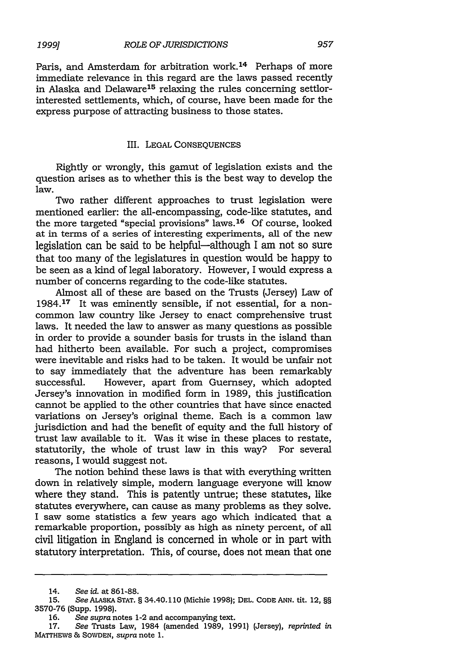*1999]*

Paris, and Amsterdam for arbitration work.<sup>14</sup> Perhaps of more immediate relevance in this regard are the laws passed recently in Alaska and Delaware<sup>15</sup> relaxing the rules concerning settlorinterested settlements, which, of course, have been made for the express purpose of attracting business to those states.

#### III. LEGAL CONSEQUENCES

Rightly or wrongly, this gamut of legislation exists and the question arises as to whether this is the best way to develop the law.

Two rather different approaches to trust legislation were mentioned earlier: the all-encompassing, code-like statutes, and the more targeted "special provisions" laws. 16 Of course, looked at in terms of a series of interesting experiments, all of the new legislation can be said to be helpful-although I am not so sure that too many of the legislatures in question would be happy to be seen as a kind of legal laboratory. However, I would express a number of concerns regarding to the code-like statutes.

Almost all of these are based on the Trusts (Jersey) Law of 1984.17 It was eminently sensible, if not essential, for a noncommon law country like Jersey to enact comprehensive trust laws. It needed the law to answer as many questions as possible in order to provide a sounder basis for trusts in the island than had hitherto been available. For such a project, compromises were inevitable and risks had to be taken. It would be unfair not to say immediately that the adventure has been remarkably successful. However, apart from Guernsey, which adopted Jersey's innovation in modified form in 1989, this justification cannot be applied to the other countries that have since enacted variations on Jersey's original theme. Each is a common law jurisdiction and had the benefit of equity and the full history of trust law available to it. Was it wise in these places to restate, statutorily, the whole of trust law in this way? For several reasons, I would suggest not.

The notion behind these laws is that with everything written down in relatively simple, modern language everyone will know where they stand. This is patently untrue; these statutes, like statutes everywhere, can cause as many problems as they solve. I saw some statistics a few years ago which indicated that a remarkable proportion, possibly as high as ninety percent, of all civil litigation in England is concerned in whole or in part with statutory interpretation. This, of course, does not mean that one

<sup>14.</sup> *See id.* at 861-88.

**<sup>15.</sup>** *See* ALASKA **STAT.** § 34.40. **110** (Michie 1998); **DEL.** CODE **ANN.** tit. 12, *§§* 3570-76 (Supp. 1998).

<sup>16.</sup> *See supra* notes 1-2 and accompanying text.

<sup>17.</sup> *See* Trusts Law, 1984 (amended 1989, 1991) (Jersey), *reprinted in* **MATTHEWS** & SOWDEN, *supra* note **1.**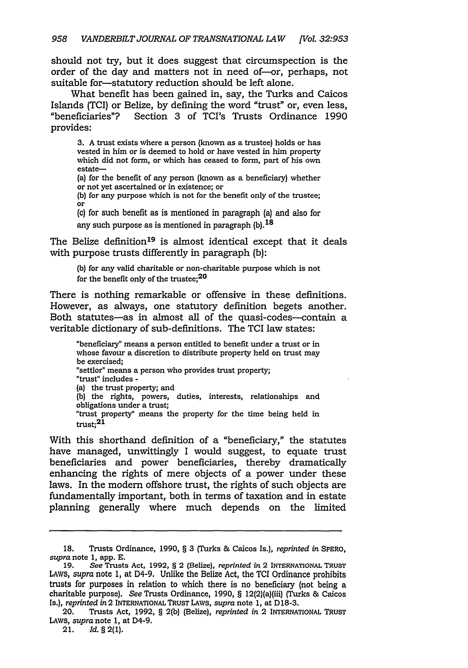should not try, but it does suggest that circumspection is the order of the day and matters not in need of-or, perhaps, not suitable for-statutory reduction should be left alone.

What benefit has been gained in, say, the Turks and Caicos Islands (TCI) or Belize, by defining the word "trust" or, even less, Section 3 of TCI's Trusts Ordinance 1990 provides:

3. A trust exists where a person (known as a trustee) holds or has vested in him or is deemed to hold or have vested in him property which did not form, or which has ceased to form, part of his own estate-

(a) for the benefit of any person (known as a beneficiary) whether or not yet ascertained or in existence; or (b) for any purpose which is not for the benefit only of the trustee;

or

(c) for such benefit as is mentioned in paragraph (a) and also for any such purpose as is mentioned in paragraph (b).<sup>18</sup>

The Belize definition<sup>19</sup> is almost identical except that it deals with purpose trusts differently in paragraph (b):

(b) for any valid charitable or non-charitable purpose which is not for the benefit only of the trustee;<sup>20</sup>

There is nothing remarkable or offensive in these definitions. However, as always, one statutory definition begets another. Both statutes-as in almost all of the quasi-codes--contain a veritable dictionary of sub-definitions. The TCI law states:

"beneficiary" means a person entitled to benefit under a trust or in whose favour a discretion to distribute property held on trust may "settlor" means a person who provides trust property; "trust" includes - (a) the trust property; and (b) the rights, powers, duties, interests, relationships and obligations under a trust; "trust property" means the property for the time being held in  $\frac{1}{2}$ trust; $2\overline{1}$ 

With this shorthand definition of a "beneficiary," the statutes have managed, unwittingly I would suggest, to equate trust beneficiaries and power beneficiaries, thereby dramatically enhancing the rights of mere objects of a power under these laws. In the modem offshore trust, the rights of such objects are fundamentally important, both in terms of taxation and in estate planning generally where much depends on the limited

<sup>18.</sup> Trusts Ordinance, 1990, § 3 (Turks **&** Caicos Is.), *reprinted in* SPERO, *supra* note **1,** app. E.

**<sup>19.</sup>** *See* Trusts Act, 1992, § 2 (Belize), *reprinted in* 2 INTERNATIONAL **TRUST** LAWS, *supra* note 1, at D4-9. Unlike the Belize Act, the TCI Ordinance prohibits trusts for purposes in relation to which there is no beneficiary (not being a charitable purpose). *See* Trusts Ordinance, 1990, § 12(2)(a)(iii) (Turks & Caicos Is.), *reprinted in* 2 INTERNATIONAL TRUST LAWS, *supra* note 1, at D18-3.

<sup>20.</sup> Trusts Act, 1992, § 2(b) (Belize), *reprinted in* 2 INTERNATIONAL TRUST LAWS, *supra* note **1,** at D4-9.

<sup>21.</sup> *Id.* **§** 2(l).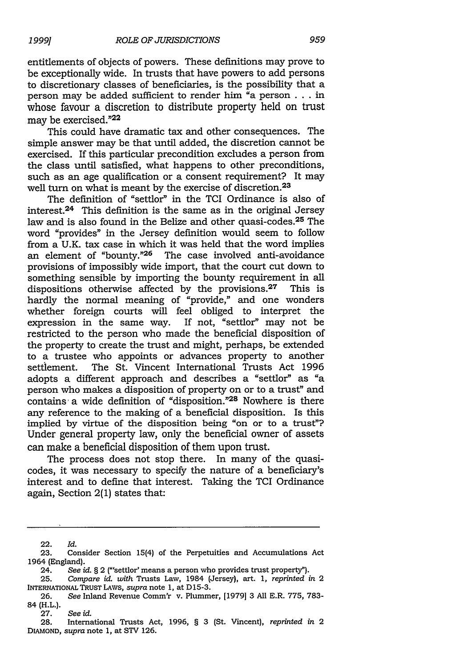entitlements of objects of powers. These definitions may prove to be exceptionally wide. In trusts that have powers to add persons to discretionary classes of beneficiaries, is the possibility that a person may be added sufficient to render him "a person . **..** in whose favour a discretion to distribute property held on trust may be exercised."22

This could have dramatic tax and other consequences. The simple answer may be that until added, the discretion cannot be exercised. If this particular precondition excludes a person from the class until satisfied, what happens to other preconditions, such as an age qualification or a consent requirement? It may well turn on what is meant by the exercise of discretion.<sup>23</sup>

The definition of "settlor" in the TCI Ordinance is also of interest.<sup>24</sup> This definition is the same as in the original Jersey law and is also found in the Belize and other quasi-codes.<sup>25</sup> The word "provides" in the Jersey definition would seem to follow from a U.K. tax case in which it was held that the word implies<br>an element of "bounty."<sup>26</sup> The case involved anti-avoidance The case involved anti-avoidance provisions of impossibly wide import, that the court cut down to something sensible by importing the bounty requirement in all dispositions otherwise affected by the provisions. $27$  This is hardly the normal meaning of "provide," and one wonders whether foreign courts will feel obliged to interpret the expression in the same way. If not, "settlor" may not be restricted to the person who made the beneficial disposition of the property to create the trust and might, perhaps, be extended to a trustee who appoints or advances property to another settlement. The St. Vincent International Trusts Act 1996 adopts a different approach and describes a "settlor" as "a person who makes a disposition of property on or to a trust" and contains a wide definition of "disposition."28 Nowhere is there any reference to the making of a beneficial disposition. Is this implied by virtue of the disposition being "on or to a trust"? Under general property law, only the beneficial owner of assets can make a beneficial disposition of them upon trust.

The process does not stop there. In many of the quasicodes, it was necessary to specify the nature of a beneficiary's interest and to define that interest. Taking the TCI Ordinance again, Section 2(1) states that:

27. *See id.*

<sup>22.</sup> *Id.*

<sup>23.</sup> Consider Section 15(4) of the Perpetuities and Accumulations Act 1964 (England).

<sup>24.</sup> *See id.* § 2 ("'settlor' means a person who provides trust property").

<sup>25.</sup> *Compare id. with* Trusts Law, 1984 (Jersey), art. **1,** *reprinted in* 2 INTERNATIONAL TRUST LAWS, *supra* note **1,** at D15-3.

<sup>26.</sup> *See* Inland Revenue Comm'r v. Plummer, [1979] 3 All E.R. 775, 783- 84 (H.L.).

**<sup>28.</sup>** International Trusts Act, 1996, § 3 (St. Vincent), *reprinted in* 2 DIAMOND, *supra* note 1, at STV 126.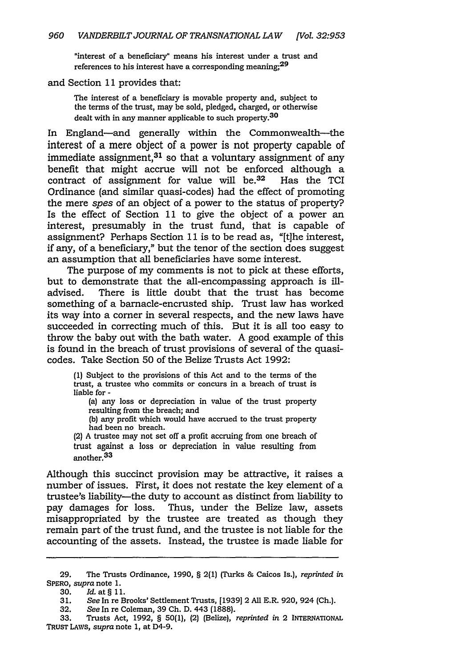"interest of a beneficiary' means his interest under a trust and references to his interest have a corresponding meaning;<sup>29</sup>

and Section 11 provides that:

The interest of a beneficiary is movable property and, subject to the terms of the trust, may be sold, pledged, charged, or otherwise dealt with in any manner applicable to such property.<sup>30</sup>

In England-and generally within the Commonwealth-the interest of a mere object of a power is not property capable of immediate assignment,<sup>31</sup> so that a voluntary assignment of any benefit that might accrue will not be enforced although a contract of assignment for value will be.<sup>32</sup> Has the TCI contract of assignment for value will be. $32$ Ordinance (and similar quasi-codes) had the effect of promoting the mere *spes* of an object of a power to the status of property? Is the effect of Section 11 to give the object of a power an interest, presumably in the trust fund, that is capable of assignment? Perhaps Section 11 is to be read as, "[t]he interest, if any, of a beneficiary," but the tenor of the section does suggest an assumption that all beneficiaries have some interest.

The purpose of my comments is not to pick at these efforts, but to demonstrate that the all-encompassing approach is illadvised. There is little doubt that the trust has become something of a barnacle-encrusted ship. Trust law has worked its way into a corner in several respects, and the new laws have succeeded in correcting much of this. But it is all too easy to throw the baby out with the bath water. A good example of this is found in the breach of trust provisions of several of the quasicodes. Take Section 50 of the Belize Trusts Act 1992:

**(1)** Subject to the provisions of this Act and to the terms of the trust, a trustee who commits or concurs in a breach of trust is liable for -

(a) any loss or depreciation in value of the trust property resulting from the breach; and

(b) any profit which would have accrued to the trust property had been no breach.

(2) A trustee may not set off a profit accruing from one breach of trust against a loss or depreciation in value resulting from another.<sup>33</sup>

Although this succinct provision may be attractive, it raises a number of issues. First, it does not restate the key element of a trustee's liability-the duty to account as distinct from liability to pay damages for loss. Thus, under the Belize law, assets misappropriated by the trustee are treated as though they remain part of the trust fund, and the trustee is not liable for the accounting of the assets. Instead, the trustee is made liable for

<sup>29.</sup> The Trusts Ordinance, 1990, § 2(1) (Turks **&** Cacos Is.), *reprinted in* SPERO, *supra* note **1.**

**<sup>30.</sup>** *Id. at §* 11.

**<sup>31.</sup>** *See* In re Brooks' Settlement Trusts, [1939] 2 All E.R. 920, 924 (Ch.).

<sup>32.</sup> *See* In re Coleman, 39 **Ch.** D. 443 (1888).

<sup>33.</sup> Trusts Act, 1992, § 50(1), (2) (Belize), *reprinted in* 2 INTERNATIONAL TRUST LAWS, *supra* note 1, at D4-9.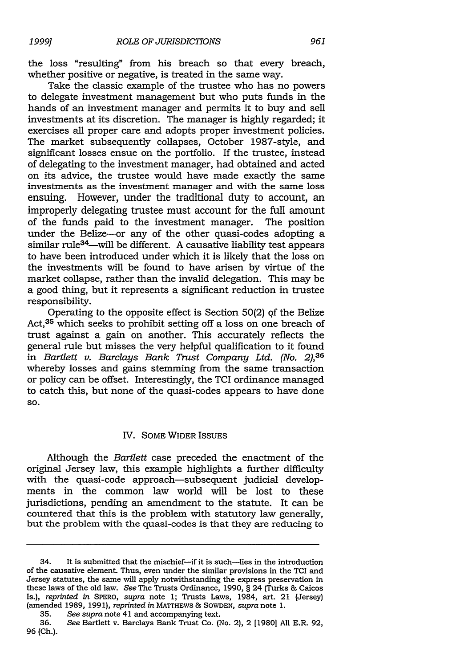the loss "resulting" from his breach so that every breach, whether positive or negative, is treated in the same way.

Take the classic example of the trustee who has no powers to delegate investment management but who puts funds in the hands of an investment manager and permits it to buy and sell investments at its discretion. The manager is highly regarded; it exercises all proper care and adopts proper investment policies. The market subsequently collapses, October 1987-style, and significant losses ensue on the portfolio. If the trustee, instead of delegating to the investment manager, had obtained and acted on its advice, the trustee would have made exactly the same investments as the investment manager and with the same loss ensuing. However, under the traditional duty to account, an improperly delegating trustee must account for the full amount of the funds paid to the investment manager. The position under the Belize--or any of the other quasi-codes adopting a similar rule<sup>34</sup>—will be different. A causative liability test appears to have been introduced under which it is likely that the loss on the investments will be found to have arisen by virtue of the market collapse, rather than the invalid delegation. This may be a good thing, but it represents a significant reduction in trustee responsibility.

Operating to the opposite effect is Section 50(2) of the Belize Act,<sup>35</sup> which seeks to prohibit setting off a loss on one breach of trust against a gain on another. This accurately reflects the general rule but misses the very helpful qualification to it found in *Bartlett v. Barclays Bank Trust Company Ltd. (No. 2),3<sup>6</sup>* whereby losses and gains stemming from the same transaction or policy can be offset. Interestingly, the TCI ordinance managed to catch this, but none of the quasi-codes appears to have done SO.

#### IV. SOME WIDER ISSUES

Although the *Bartlett* case preceded the enactment of the original Jersey law, this example highlights a further difficulty with the quasi-code approach-subsequent judicial developments in the common law world will be lost to these jurisdictions, pending an amendment to the statute. It can be countered that this is the problem with statutory law generally, but the problem with the quasi-codes is that they are reducing to

<sup>34.</sup> It is submitted that the mischief-if **it** is such-lies in the introduction of the causative element. Thus, even under the similar provisions in the TCI and Jersey statutes, the same will apply notwithstanding the express preservation in these laws of the old law. *See* The Trusts Ordinance, **1990,** § 24 (Turks & Caicos Is.), *reprinted in* SPERO, *supra* note **1;** Trusts Laws, 1984, art. 21 (Jersey (amended **1989, 1991),** *reprinted in* MATTHEWS **& SOWDEN,** *supra* note **1.**

**<sup>35.</sup>** *See supra* note 41 and accompanying text.

**<sup>36.</sup>** *See* Bartlett v. Barclays Bank Trust Co. (No. **2),** 2 **[19801 All** E.R. **92, 96 (Ch.).**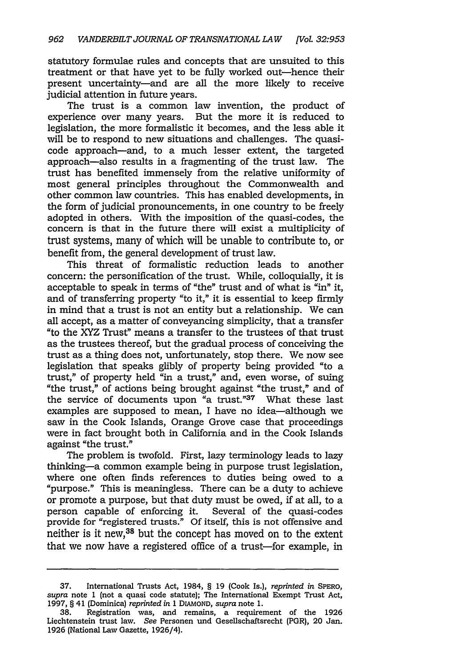statutory formulae rules and concepts that are unsuited to this treatment or that have yet to be fully worked out-hence their present uncertainty-and are all the more likely to receive judicial attention in future years.

The trust is a common law invention, the product of experience over many years. But the more it is reduced to legislation, the more formalistic it becomes, and the less able it will be to respond to new situations and challenges. The quasicode approach-and, to a much lesser extent, the targeted approach-also results in a fragmenting of the trust law. The trust has benefited immensely from the relative uniformity of most general principles throughout the Commonwealth and other common law countries. This has enabled developments, in the form of judicial pronouncements, in one country to be freely adopted in others. With the imposition of the quasi-codes, the concern is that in the future there will exist a multiplicity of trust systems, many of which will be unable to contribute to, or benefit from, the general development of trust law.

This threat of formalistic reduction leads to another concern: the personification of the trust. While, colloquially, it is acceptable to speak in terms of "the" trust and of what is "in" it, and of transferring property "to it," it is essential to keep firmly in mind that a trust is not an entity but a relationship. We can all accept, as a matter of conveyancing simplicity, that a transfer "to the XYZ Trust" means a transfer to the trustees of that trust as the trustees thereof, but the gradual process of conceiving the trust as a thing does not, unfortunately, stop there. We now see legislation that speaks glibly of property being provided "to a trust," of property held "in a trust," and, even worse, of suing "the trust," of actions being brought against "the trust," and of the service of documents upon "a trust."37 What these last examples are supposed to mean, I have no idea-although we saw in the Cook Islands, Orange Grove case that proceedings were in fact brought both in California and in the Cook Islands against "the trust."

The problem is twofold. First, lazy terminology leads to lazy thinking-a common example being in purpose trust legislation, where one often finds references to duties being owed to a "purpose." This is meaningless. There can be a duty to achieve or promote a purpose, but that duty must be owed, if at all, to a person capable of enforcing it. Several of the quasi-codes provide for "registered trusts." Of itself, this is not offensive and neither is it new,38 but the concept has moved on to the extent that we now have a registered office of a trust-for example, in

<sup>37.</sup> International Trusts Act, 1984, § 19 (Cook Is.), *reprinted in* SPERO, *supra* note 1 (not a quasi code statute); The International Exempt Trust Act, 1997, § 41 (Dominica) *reprinted in* **1** DIAMOND, *supra* note 1.

<sup>38.</sup> Registration was, and remains, a requirement of the 1926 Liechtenstein trust law. *See* Personen und Gesellschaftsrecht (PGR), 20 Jan. 1926 (National Law Gazette, 1926/4).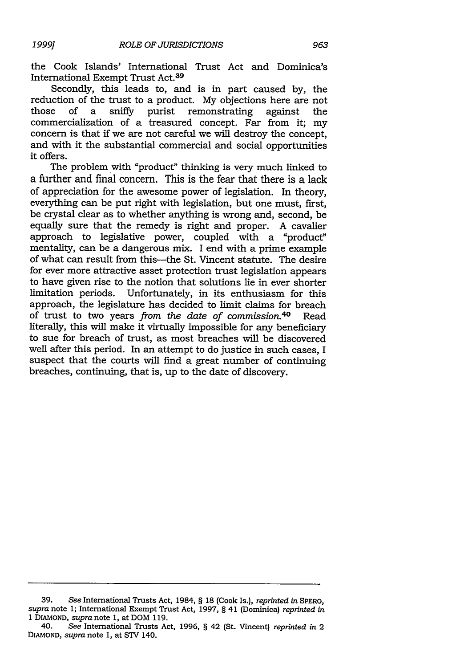the Cook Islands' International Trust Act and Dominica's International Exempt Trust Act.<sup>39</sup>

Secondly, this leads to, and is in part caused by, the reduction of the trust to a product. My objections here are not those of a sniffy purist remonstrating against the a sniffy purist remonstrating against the commercialization of a treasured concept. Far from it; my concern is that if we are not careful we will destroy the concept, and with it the substantial commercial and social opportunities it offers.

The problem with "product" thinking is very much linked to a further and final concern. This is the fear that there is a lack of appreciation for the awesome power of legislation. In theory, everything can be put right with legislation, but one must, first, be crystal clear as to whether anything is wrong and, second, be equally sure that the remedy is right and proper. A cavalier approach to legislative power, coupled with a "product mentality, can be a dangerous mix. I end with a prime example of what can result from this-the St. Vincent statute. The desire for ever more attractive asset protection trust legislation appears to have given rise to the notion that solutions lie in ever shorter limitation periods. Unfortunately, in its enthusiasm for this approach, the legislature has decided to limit claims for breach of trust to two years *from the date of commission.40* Read literally, this will make it virtually impossible for any beneficiary to sue for breach of trust, as most breaches will be discovered well after this period. In an attempt to do justice in such cases, I suspect that the courts will find a great number of continuing breaches, continuing, that is, up to the date of discovery.

<sup>39.</sup> *See* International Trusts Act, 1984, § 18 (Cook Is.), *reprinted in* SPERO, *supra* note 1; International Exempt Trust Act, 1997, § 41 (Dominica) *reprinted in* 1 DIAMOND, *supra* note **1,** at DOM 119.

<sup>40.</sup> *See* International Trusts Act, 1996, § 42 (St. Vincent) *reprinted in* 2 DIAMOND, *supra* note **1,** at STV 140.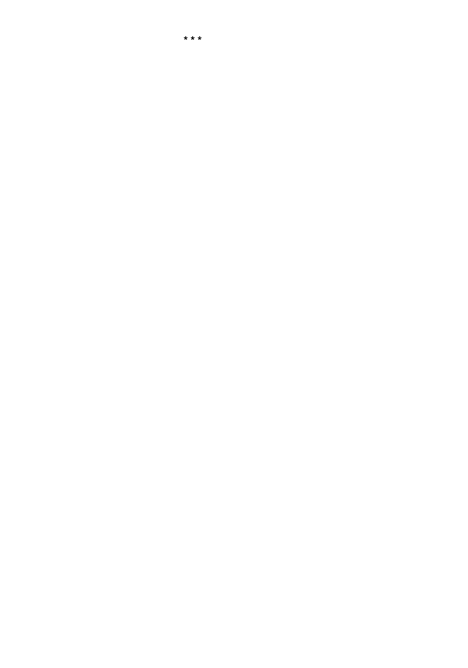$\star\star\star$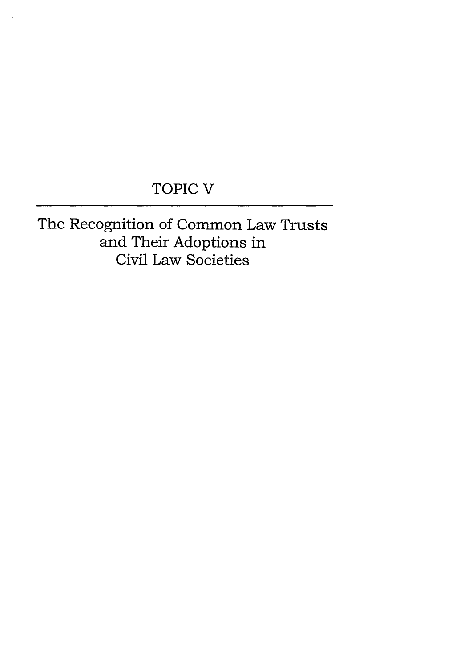## TOPIC V

The Recognition of Common Law Trusts and Their Adoptions in Civil Law Societies